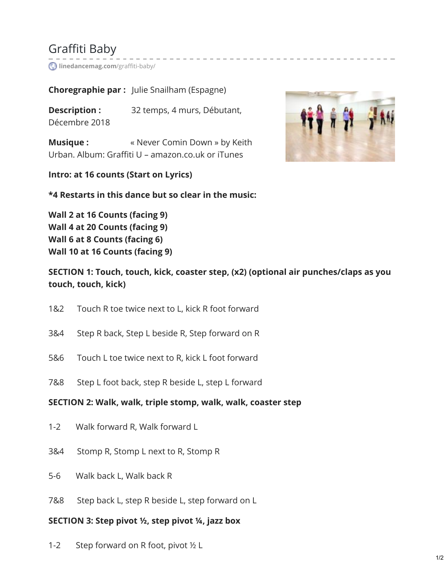# Graffiti Baby

**[linedancemag.com](https://www.linedancemag.com/graffiti-baby/)**/graffiti-baby/

**Choregraphie par :** Julie Snailham (Espagne)

**Description :** 32 temps, 4 murs, Débutant, Décembre 2018

**Musique : Wille Allergery Associng Musique : wille with Source State Musique**  $\mathbf{c}$ Urban. Album: Graffiti U – amazon.co.uk or iTunes

**Intro: at 16 counts (Start on Lyrics)**

**\*4 Restarts in this dance but so clear in the music:**

**Wall 2 at 16 Counts (facing 9) Wall 4 at 20 Counts (facing 9) Wall 6 at 8 Counts (facing 6) Wall 10 at 16 Counts (facing 9)**

**SECTION 1: Touch, touch, kick, coaster step, (x2) (optional air punches/claps as you touch, touch, kick)**

- 1&2 Touch R toe twice next to L, kick R foot forward
- 3&4 Step R back, Step L beside R, Step forward on R
- 5&6 Touch L toe twice next to R, kick L foot forward
- 7&8 Step L foot back, step R beside L, step L forward

#### **SECTION 2: Walk, walk, triple stomp, walk, walk, coaster step**

- 1-2 Walk forward R, Walk forward L
- 3&4 Stomp R, Stomp L next to R, Stomp R
- 5-6 Walk back L, Walk back R
- 7&8 Step back L, step R beside L, step forward on L

#### **SECTION 3: Step pivot ½, step pivot ¼, jazz box**

1-2 Step forward on R foot, pivot ½ L